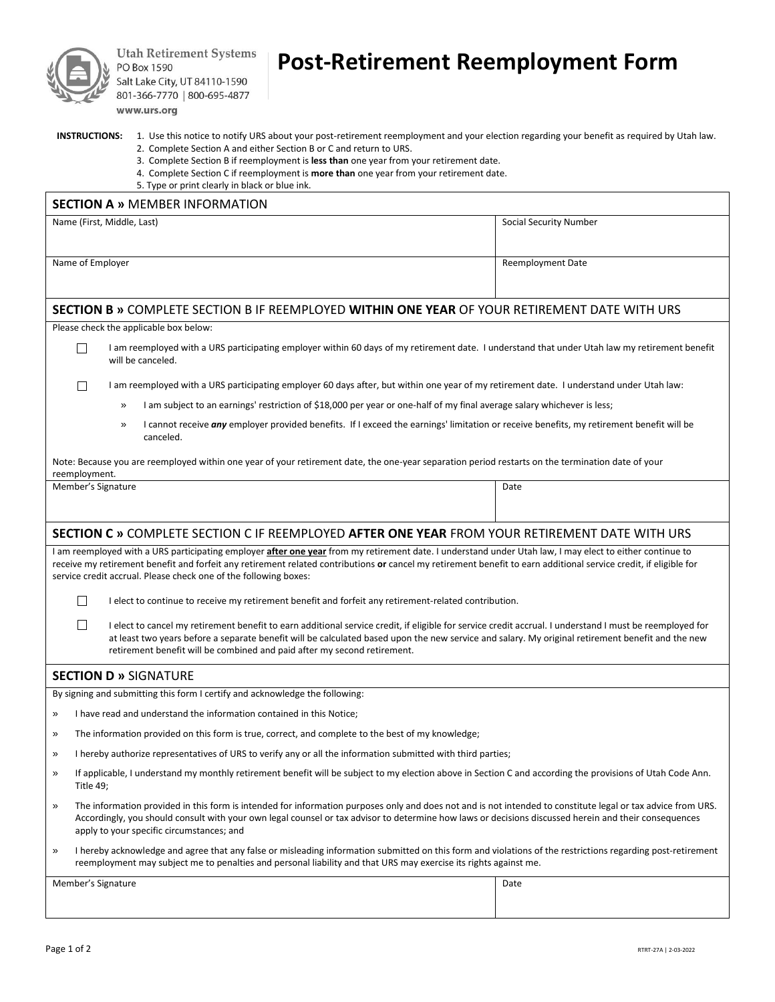

**Utah Retirement Systems** PO Box 1590 Salt Lake City, UT 84110-1590 801-366-7770 | 800-695-4877 www.urs.org

# **Post-Retirement Reemployment Form**

| <b>INSTRUCTIONS:</b> | 1. Use this no |  |
|----------------------|----------------|--|
|                      |                |  |

| <b>INSTRUCTIONS:</b> | 1. Use this notice to notify URS about your post-retirement reemployment and your election regarding your benefit as required by Utah law. |
|----------------------|--------------------------------------------------------------------------------------------------------------------------------------------|
|                      | 2. Complete Section A and either Section B or C and return to URS.                                                                         |

- 3. Complete Section B if reemployment is **less than** one year from your retirement date.
- 4. Complete Section C if reemployment is **more than** one year from your retirement date.

5. Type or print clearly in black or blue ink.

| <b>SECTION A » MEMBER INFORMATION</b>                                                                                                                                                                                                                                                                                                                                                             |                                                                                                                                                                                                                                                                                                                                                                                                           |                          |  |  |  |
|---------------------------------------------------------------------------------------------------------------------------------------------------------------------------------------------------------------------------------------------------------------------------------------------------------------------------------------------------------------------------------------------------|-----------------------------------------------------------------------------------------------------------------------------------------------------------------------------------------------------------------------------------------------------------------------------------------------------------------------------------------------------------------------------------------------------------|--------------------------|--|--|--|
| Name (First, Middle, Last)                                                                                                                                                                                                                                                                                                                                                                        |                                                                                                                                                                                                                                                                                                                                                                                                           | Social Security Number   |  |  |  |
| Name of Employer                                                                                                                                                                                                                                                                                                                                                                                  |                                                                                                                                                                                                                                                                                                                                                                                                           | <b>Reemployment Date</b> |  |  |  |
| SECTION B » COMPLETE SECTION B IF REEMPLOYED WITHIN ONE YEAR OF YOUR RETIREMENT DATE WITH URS                                                                                                                                                                                                                                                                                                     |                                                                                                                                                                                                                                                                                                                                                                                                           |                          |  |  |  |
|                                                                                                                                                                                                                                                                                                                                                                                                   | Please check the applicable box below:                                                                                                                                                                                                                                                                                                                                                                    |                          |  |  |  |
|                                                                                                                                                                                                                                                                                                                                                                                                   | I am reemployed with a URS participating employer within 60 days of my retirement date. I understand that under Utah law my retirement benefit<br>$\Box$<br>will be canceled.                                                                                                                                                                                                                             |                          |  |  |  |
|                                                                                                                                                                                                                                                                                                                                                                                                   | I am reemployed with a URS participating employer 60 days after, but within one year of my retirement date. I understand under Utah law:<br>$\mathbf{L}$                                                                                                                                                                                                                                                  |                          |  |  |  |
|                                                                                                                                                                                                                                                                                                                                                                                                   | I am subject to an earnings' restriction of \$18,000 per year or one-half of my final average salary whichever is less;<br>»                                                                                                                                                                                                                                                                              |                          |  |  |  |
|                                                                                                                                                                                                                                                                                                                                                                                                   | I cannot receive any employer provided benefits. If I exceed the earnings' limitation or receive benefits, my retirement benefit will be<br>»<br>canceled.                                                                                                                                                                                                                                                |                          |  |  |  |
| Note: Because you are reemployed within one year of your retirement date, the one-year separation period restarts on the termination date of your<br>reemployment.                                                                                                                                                                                                                                |                                                                                                                                                                                                                                                                                                                                                                                                           |                          |  |  |  |
|                                                                                                                                                                                                                                                                                                                                                                                                   | Member's Signature                                                                                                                                                                                                                                                                                                                                                                                        | Date                     |  |  |  |
|                                                                                                                                                                                                                                                                                                                                                                                                   |                                                                                                                                                                                                                                                                                                                                                                                                           |                          |  |  |  |
| SECTION C » COMPLETE SECTION C IF REEMPLOYED AFTER ONE YEAR FROM YOUR RETIREMENT DATE WITH URS                                                                                                                                                                                                                                                                                                    |                                                                                                                                                                                                                                                                                                                                                                                                           |                          |  |  |  |
| I am reemployed with a URS participating employer after one year from my retirement date. I understand under Utah law, I may elect to either continue to<br>receive my retirement benefit and forfeit any retirement related contributions or cancel my retirement benefit to earn additional service credit, if eligible for<br>service credit accrual. Please check one of the following boxes: |                                                                                                                                                                                                                                                                                                                                                                                                           |                          |  |  |  |
|                                                                                                                                                                                                                                                                                                                                                                                                   | $\mathsf{L}$<br>I elect to continue to receive my retirement benefit and forfeit any retirement-related contribution.                                                                                                                                                                                                                                                                                     |                          |  |  |  |
|                                                                                                                                                                                                                                                                                                                                                                                                   | $\mathbf{L}$<br>I elect to cancel my retirement benefit to earn additional service credit, if eligible for service credit accrual. I understand I must be reemployed for<br>at least two years before a separate benefit will be calculated based upon the new service and salary. My original retirement benefit and the new<br>retirement benefit will be combined and paid after my second retirement. |                          |  |  |  |
|                                                                                                                                                                                                                                                                                                                                                                                                   | <b>SECTION D » SIGNATURE</b>                                                                                                                                                                                                                                                                                                                                                                              |                          |  |  |  |
|                                                                                                                                                                                                                                                                                                                                                                                                   | By signing and submitting this form I certify and acknowledge the following:                                                                                                                                                                                                                                                                                                                              |                          |  |  |  |
| $\gg$                                                                                                                                                                                                                                                                                                                                                                                             | I have read and understand the information contained in this Notice;                                                                                                                                                                                                                                                                                                                                      |                          |  |  |  |
| »                                                                                                                                                                                                                                                                                                                                                                                                 | The information provided on this form is true, correct, and complete to the best of my knowledge;                                                                                                                                                                                                                                                                                                         |                          |  |  |  |
| »                                                                                                                                                                                                                                                                                                                                                                                                 | I hereby authorize representatives of URS to verify any or all the information submitted with third parties;                                                                                                                                                                                                                                                                                              |                          |  |  |  |
| $\gg$                                                                                                                                                                                                                                                                                                                                                                                             | If applicable, I understand my monthly retirement benefit will be subject to my election above in Section C and according the provisions of Utah Code Ann.<br>Title 49;                                                                                                                                                                                                                                   |                          |  |  |  |
| »                                                                                                                                                                                                                                                                                                                                                                                                 | The information provided in this form is intended for information purposes only and does not and is not intended to constitute legal or tax advice from URS.<br>Accordingly, you should consult with your own legal counsel or tax advisor to determine how laws or decisions discussed herein and their consequences<br>apply to your specific circumstances; and                                        |                          |  |  |  |
| $\gg$                                                                                                                                                                                                                                                                                                                                                                                             | I hereby acknowledge and agree that any false or misleading information submitted on this form and violations of the restrictions regarding post-retirement<br>reemployment may subject me to penalties and personal liability and that URS may exercise its rights against me.                                                                                                                           |                          |  |  |  |
|                                                                                                                                                                                                                                                                                                                                                                                                   | Member's Signature                                                                                                                                                                                                                                                                                                                                                                                        | Date                     |  |  |  |